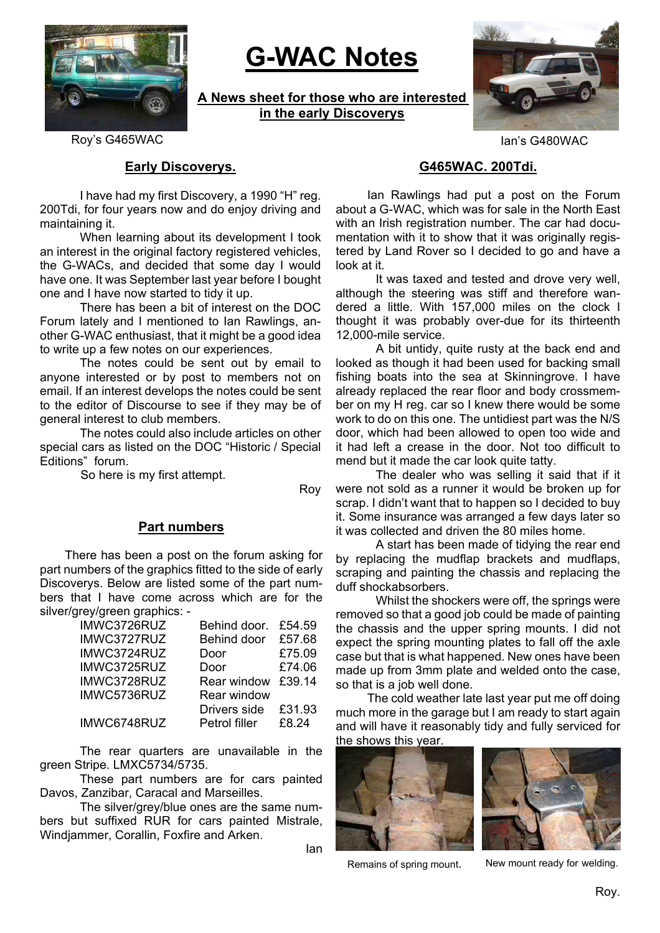

# **G-WAC Notes**

**A News sheet for those who are interested in the early Discoverys**



Roy's G465WAC **Ignation Contract Contract Contract Contract Contract Contract Contract Contract Contract Contract Contract Contract Contract Contract Contract Contract Contract Contract Contract Contract Contract Contract** 

## **Early Discoverys.**

 I have had my first Discovery, a 1990 "H" reg. 200Tdi, for four years now and do enjoy driving and maintaining it.

 When learning about its development I took an interest in the original factory registered vehicles, the G-WACs, and decided that some day I would have one. It was September last year before I bought one and I have now started to tidy it up.

 There has been a bit of interest on the DOC Forum lately and I mentioned to Ian Rawlings, another G-WAC enthusiast, that it might be a good idea to write up a few notes on our experiences.

 The notes could be sent out by email to anyone interested or by post to members not on email. If an interest develops the notes could be sent to the editor of Discourse to see if they may be of general interest to club members.

 The notes could also include articles on other special cars as listed on the DOC "Historic / Special Editions" forum.

So here is my first attempt.

Roy

## **Part numbers**

 There has been a post on the forum asking for part numbers of the graphics fitted to the side of early Discoverys. Below are listed some of the part numbers that I have come across which are for the silver/grey/green graphics: -

| IMWC3726RUZ | Behind door.  | £54.59 |
|-------------|---------------|--------|
| IMWC3727RUZ | Behind door   | £57.68 |
| IMWC3724RUZ | Door          | £75.09 |
| IMWC3725RUZ | Door          | £74.06 |
| IMWC3728RUZ | Rear window   | £39.14 |
| IMWC5736RUZ | Rear window   |        |
|             | Drivers side  | £31.93 |
| IMWC6748RUZ | Petrol filler | £8.24  |
|             |               |        |

 The rear quarters are unavailable in the green Stripe. LMXC5734/5735.

 These part numbers are for cars painted Davos, Zanzibar, Caracal and Marseilles.

 The silver/grey/blue ones are the same numbers but suffixed RUR for cars painted Mistrale, Windjammer, Corallin, Foxfire and Arken.

Ian

# **G465WAC. 200Tdi.**

Ian Rawlings had put a post on the Forum about a G-WAC, which was for sale in the North East with an Irish registration number. The car had documentation with it to show that it was originally registered by Land Rover so I decided to go and have a look at it.

It was taxed and tested and drove very well, although the steering was stiff and therefore wandered a little. With 157,000 miles on the clock I thought it was probably over-due for its thirteenth 12,000-mile service.

A bit untidy, quite rusty at the back end and looked as though it had been used for backing small fishing boats into the sea at Skinningrove. I have already replaced the rear floor and body crossmember on my H reg. car so I knew there would be some work to do on this one. The untidiest part was the N/S door, which had been allowed to open too wide and it had left a crease in the door. Not too difficult to mend but it made the car look quite tatty.

The dealer who was selling it said that if it were not sold as a runner it would be broken up for scrap. I didn't want that to happen so I decided to buy it. Some insurance was arranged a few days later so it was collected and driven the 80 miles home.

A start has been made of tidying the rear end by replacing the mudflap brackets and mudflaps, scraping and painting the chassis and replacing the duff shockabsorbers.

Whilst the shockers were off, the springs were removed so that a good job could be made of painting the chassis and the upper spring mounts. I did not expect the spring mounting plates to fall off the axle case but that is what happened. New ones have been made up from 3mm plate and welded onto the case, so that is a job well done.

The cold weather late last year put me off doing much more in the garage but I am ready to start again and will have it reasonably tidy and fully serviced for the shows this year.





Remains of spring mount. New mount ready for welding.